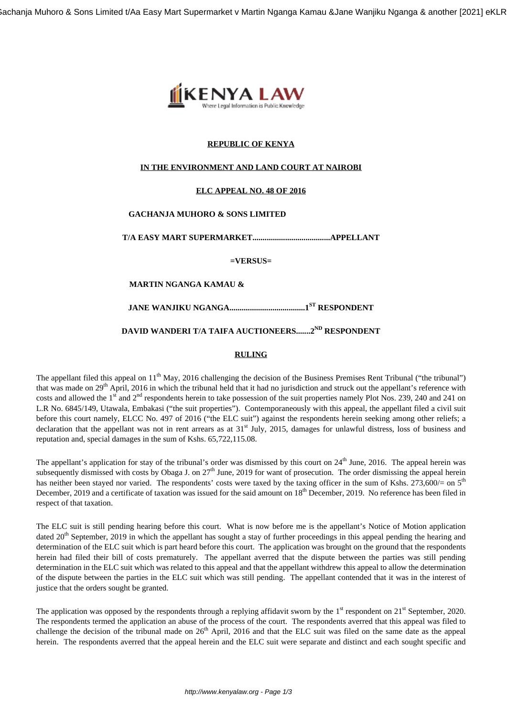

# **REPUBLIC OF KENYA**

# **IN THE ENVIRONMENT AND LAND COURT AT NAIROBI**

# **ELC APPEAL NO. 48 OF 2016**

# **GACHANJA MUHORO & SONS LIMITED**

**T/A EASY MART SUPERMARKET......................................APPELLANT**

**=VERSUS=**

# **MARTIN NGANGA KAMAU &**

**JANE WANJIKU NGANGA.....................................1ST RESPONDENT**

# **DAVID WANDERI T/A TAIFA AUCTIONEERS.......2ND RESPONDENT**

#### **RULING**

The appellant filed this appeal on 11<sup>th</sup> May, 2016 challenging the decision of the Business Premises Rent Tribunal ("the tribunal") that was made on 29<sup>th</sup> April, 2016 in which the tribunal held that it had no jurisdiction and struck out the appellant's reference with costs and allowed the  $1<sup>st</sup>$  and  $2<sup>nd</sup>$  respondents herein to take possession of the suit properties namely Plot Nos. 239, 240 and 241 on L.R No. 6845/149, Utawala, Embakasi ("the suit properties"). Contemporaneously with this appeal, the appellant filed a civil suit before this court namely, ELCC No. 497 of 2016 ("the ELC suit") against the respondents herein seeking among other reliefs; a declaration that the appellant was not in rent arrears as at  $31<sup>st</sup>$  July, 2015, damages for unlawful distress, loss of business and reputation and, special damages in the sum of Kshs. 65,722,115.08.

The appellant's application for stay of the tribunal's order was dismissed by this court on  $24<sup>th</sup>$  June, 2016. The appeal herein was subsequently dismissed with costs by Obaga J. on 27<sup>th</sup> June, 2019 for want of prosecution. The order dismissing the appeal herein has neither been stayed nor varied. The respondents' costs were taxed by the taxing officer in the sum of Kshs. 273,600/= on  $5<sup>th</sup>$ December, 2019 and a certificate of taxation was issued for the said amount on 18<sup>th</sup> December, 2019. No reference has been filed in respect of that taxation.

The ELC suit is still pending hearing before this court. What is now before me is the appellant's Notice of Motion application dated  $20<sup>th</sup>$  September, 2019 in which the appellant has sought a stay of further proceedings in this appeal pending the hearing and determination of the ELC suit which is part heard before this court. The application was brought on the ground that the respondents herein had filed their bill of costs prematurely. The appellant averred that the dispute between the parties was still pending determination in the ELC suit which was related to this appeal and that the appellant withdrew this appeal to allow the determination of the dispute between the parties in the ELC suit which was still pending. The appellant contended that it was in the interest of justice that the orders sought be granted.

The application was opposed by the respondents through a replying affidavit sworn by the  $1<sup>st</sup>$  respondent on  $21<sup>st</sup>$  September, 2020. The respondents termed the application an abuse of the process of the court. The respondents averred that this appeal was filed to challenge the decision of the tribunal made on 26<sup>th</sup> April, 2016 and that the ELC suit was filed on the same date as the appeal herein. The respondents averred that the appeal herein and the ELC suit were separate and distinct and each sought specific and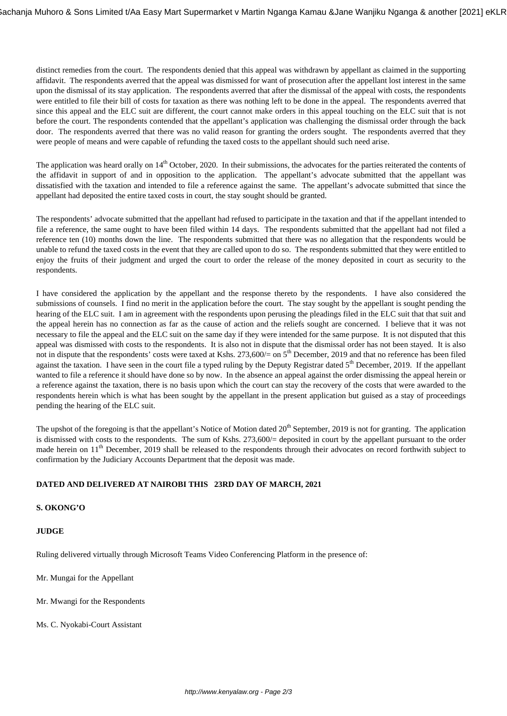distinct remedies from the court. The respondents denied that this appeal was withdrawn by appellant as claimed in the supporting affidavit. The respondents averred that the appeal was dismissed for want of prosecution after the appellant lost interest in the same upon the dismissal of its stay application. The respondents averred that after the dismissal of the appeal with costs, the respondents were entitled to file their bill of costs for taxation as there was nothing left to be done in the appeal. The respondents averred that since this appeal and the ELC suit are different, the court cannot make orders in this appeal touching on the ELC suit that is not before the court. The respondents contended that the appellant's application was challenging the dismissal order through the back door. The respondents averred that there was no valid reason for granting the orders sought. The respondents averred that they were people of means and were capable of refunding the taxed costs to the appellant should such need arise.

The application was heard orally on 14<sup>th</sup> October, 2020. In their submissions, the advocates for the parties reiterated the contents of the affidavit in support of and in opposition to the application. The appellant's advocate submitted that the appellant was dissatisfied with the taxation and intended to file a reference against the same. The appellant's advocate submitted that since the appellant had deposited the entire taxed costs in court, the stay sought should be granted.

The respondents' advocate submitted that the appellant had refused to participate in the taxation and that if the appellant intended to file a reference, the same ought to have been filed within 14 days. The respondents submitted that the appellant had not filed a reference ten (10) months down the line. The respondents submitted that there was no allegation that the respondents would be unable to refund the taxed costs in the event that they are called upon to do so. The respondents submitted that they were entitled to enjoy the fruits of their judgment and urged the court to order the release of the money deposited in court as security to the respondents.

I have considered the application by the appellant and the response thereto by the respondents. I have also considered the submissions of counsels. I find no merit in the application before the court. The stay sought by the appellant is sought pending the hearing of the ELC suit. I am in agreement with the respondents upon perusing the pleadings filed in the ELC suit that that suit and the appeal herein has no connection as far as the cause of action and the reliefs sought are concerned. I believe that it was not necessary to file the appeal and the ELC suit on the same day if they were intended for the same purpose. It is not disputed that this appeal was dismissed with costs to the respondents. It is also not in dispute that the dismissal order has not been stayed. It is also not in dispute that the respondents' costs were taxed at Kshs.  $273,600/=$  on  $5<sup>th</sup>$  December, 2019 and that no reference has been filed against the taxation. I have seen in the court file a typed ruling by the Deputy Registrar dated  $5<sup>th</sup>$  December, 2019. If the appellant wanted to file a reference it should have done so by now. In the absence an appeal against the order dismissing the appeal herein or a reference against the taxation, there is no basis upon which the court can stay the recovery of the costs that were awarded to the respondents herein which is what has been sought by the appellant in the present application but guised as a stay of proceedings pending the hearing of the ELC suit.

The upshot of the foregoing is that the appellant's Notice of Motion dated  $20<sup>th</sup>$  September, 2019 is not for granting. The application is dismissed with costs to the respondents. The sum of Kshs. 273,600/= deposited in court by the appellant pursuant to the order made herein on 11<sup>th</sup> December, 2019 shall be released to the respondents through their advocates on record forthwith subject to confirmation by the Judiciary Accounts Department that the deposit was made.

# **DATED AND DELIVERED AT NAIROBI THIS 23RD DAY OF MARCH, 2021**

# **S. OKONG'O**

# **JUDGE**

Ruling delivered virtually through Microsoft Teams Video Conferencing Platform in the presence of:

Mr. Mungai for the Appellant

Mr. Mwangi for the Respondents

Ms. C. Nyokabi-Court Assistant